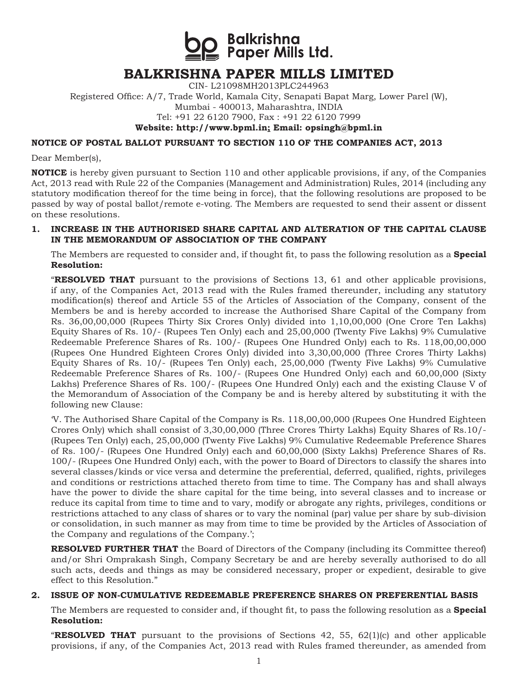**S**<br>Balkrishna<br>Is Paper Mills Ltd.

## **BALKRISHNA PAPER MILLS LIMITED**

CIN- L21098MH2013PLC244963

Registered Office: A/7, Trade World, Kamala City, Senapati Bapat Marg, Lower Parel (W), Mumbai - 400013, Maharashtra, INDIA Tel: +91 22 6120 7900, Fax : +91 22 6120 7999

**Website: http://www.bpml.in; Email: opsingh@bpml.in**

#### **NOTICE OF POSTAL BALLOT PURSUANT TO SECTION 110 OF THE COMPANIES ACT, 2013**

Dear Member(s),

**NOTICE** is hereby given pursuant to Section 110 and other applicable provisions, if any, of the Companies Act, 2013 read with Rule 22 of the Companies (Management and Administration) Rules, 2014 (including any statutory modification thereof for the time being in force), that the following resolutions are proposed to be passed by way of postal ballot/remote e-voting. The Members are requested to send their assent or dissent on these resolutions.

#### **1. INCREASE IN THE AUTHORISED SHARE CAPITAL AND ALTERATION OF THE CAPITAL CLAUSE IN THE MEMORANDUM OF ASSOCIATION OF THE COMPANY**

The Members are requested to consider and, if thought fit, to pass the following resolution as a **Special Resolution:**

"**RESOLVED THAT** pursuant to the provisions of Sections 13, 61 and other applicable provisions, if any, of the Companies Act, 2013 read with the Rules framed thereunder, including any statutory modification(s) thereof and Article 55 of the Articles of Association of the Company, consent of the Members be and is hereby accorded to increase the Authorised Share Capital of the Company from Rs. 36,00,00,000 (Rupees Thirty Six Crores Only) divided into 1,10,00,000 (One Crore Ten Lakhs) Equity Shares of Rs. 10/- (Rupees Ten Only) each and 25,00,000 (Twenty Five Lakhs) 9% Cumulative Redeemable Preference Shares of Rs. 100/- (Rupees One Hundred Only) each to Rs. 118,00,00,000 (Rupees One Hundred Eighteen Crores Only) divided into 3,30,00,000 (Three Crores Thirty Lakhs) Equity Shares of Rs. 10/- (Rupees Ten Only) each, 25,00,000 (Twenty Five Lakhs) 9% Cumulative Redeemable Preference Shares of Rs. 100/- (Rupees One Hundred Only) each and 60,00,000 (Sixty Lakhs) Preference Shares of Rs. 100/- (Rupees One Hundred Only) each and the existing Clause V of the Memorandum of Association of the Company be and is hereby altered by substituting it with the following new Clause:

'V. The Authorised Share Capital of the Company is Rs. 118,00,00,000 (Rupees One Hundred Eighteen Crores Only) which shall consist of 3,30,00,000 (Three Crores Thirty Lakhs) Equity Shares of Rs.10/- (Rupees Ten Only) each, 25,00,000 (Twenty Five Lakhs) 9% Cumulative Redeemable Preference Shares of Rs. 100/- (Rupees One Hundred Only) each and 60,00,000 (Sixty Lakhs) Preference Shares of Rs. 100/- (Rupees One Hundred Only) each, with the power to Board of Directors to classify the shares into several classes/kinds or vice versa and determine the preferential, deferred, qualified, rights, privileges and conditions or restrictions attached thereto from time to time. The Company has and shall always have the power to divide the share capital for the time being, into several classes and to increase or reduce its capital from time to time and to vary, modify or abrogate any rights, privileges, conditions or restrictions attached to any class of shares or to vary the nominal (par) value per share by sub-division or consolidation, in such manner as may from time to time be provided by the Articles of Association of the Company and regulations of the Company.';

**RESOLVED FURTHER THAT** the Board of Directors of the Company (including its Committee thereof) and/or Shri Omprakash Singh, Company Secretary be and are hereby severally authorised to do all such acts, deeds and things as may be considered necessary, proper or expedient, desirable to give effect to this Resolution."

#### **2. ISSUE OF NON-CUMULATIVE REDEEMABLE PREFERENCE SHARES ON PREFERENTIAL BASIS**

The Members are requested to consider and, if thought fit, to pass the following resolution as a **Special Resolution:**

**"RESOLVED THAT** pursuant to the provisions of Sections  $42$ ,  $55$ ,  $62(1)(c)$  and other applicable provisions, if any, of the Companies Act, 2013 read with Rules framed thereunder, as amended from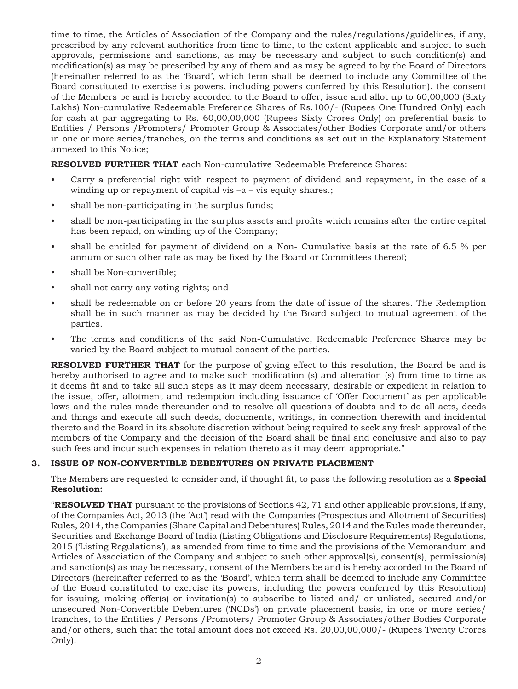time to time, the Articles of Association of the Company and the rules/regulations/guidelines, if any, prescribed by any relevant authorities from time to time, to the extent applicable and subject to such approvals, permissions and sanctions, as may be necessary and subject to such condition(s) and modification(s) as may be prescribed by any of them and as may be agreed to by the Board of Directors (hereinafter referred to as the 'Board', which term shall be deemed to include any Committee of the Board constituted to exercise its powers, including powers conferred by this Resolution), the consent of the Members be and is hereby accorded to the Board to offer, issue and allot up to 60,00,000 (Sixty Lakhs) Non-cumulative Redeemable Preference Shares of Rs.100/- (Rupees One Hundred Only) each for cash at par aggregating to Rs. 60,00,00,000 (Rupees Sixty Crores Only) on preferential basis to Entities / Persons /Promoters/ Promoter Group & Associates/other Bodies Corporate and/or others in one or more series/tranches, on the terms and conditions as set out in the Explanatory Statement annexed to this Notice;

**RESOLVED FURTHER THAT** each Non-cumulative Redeemable Preference Shares:

- Carry a preferential right with respect to payment of dividend and repayment, in the case of a winding up or repayment of capital vis –a – vis equity shares.;
- shall be non-participating in the surplus funds;
- shall be non-participating in the surplus assets and profits which remains after the entire capital has been repaid, on winding up of the Company;
- shall be entitled for payment of dividend on a Non- Cumulative basis at the rate of 6.5 % per annum or such other rate as may be fixed by the Board or Committees thereof;
- shall be Non-convertible;
- shall not carry any voting rights; and
- shall be redeemable on or before 20 years from the date of issue of the shares. The Redemption shall be in such manner as may be decided by the Board subject to mutual agreement of the parties.
- The terms and conditions of the said Non-Cumulative, Redeemable Preference Shares may be varied by the Board subject to mutual consent of the parties.

**RESOLVED FURTHER THAT** for the purpose of giving effect to this resolution, the Board be and is hereby authorised to agree and to make such modification (s) and alteration (s) from time to time as it deems fit and to take all such steps as it may deem necessary, desirable or expedient in relation to the issue, offer, allotment and redemption including issuance of 'Offer Document' as per applicable laws and the rules made thereunder and to resolve all questions of doubts and to do all acts, deeds and things and execute all such deeds, documents, writings, in connection therewith and incidental thereto and the Board in its absolute discretion without being required to seek any fresh approval of the members of the Company and the decision of the Board shall be final and conclusive and also to pay such fees and incur such expenses in relation thereto as it may deem appropriate."

### **3. ISSUE OF NON-CONVERTIBLE DEBENTURES ON PRIVATE PLACEMENT**

The Members are requested to consider and, if thought fit, to pass the following resolution as a **Special Resolution:**

"**RESOLVED THAT** pursuant to the provisions of Sections 42, 71 and other applicable provisions, if any, of the Companies Act, 2013 (the 'Act') read with the Companies (Prospectus and Allotment of Securities) Rules, 2014, the Companies (Share Capital and Debentures) Rules, 2014 and the Rules made thereunder, Securities and Exchange Board of India (Listing Obligations and Disclosure Requirements) Regulations, 2015 ('Listing Regulations'), as amended from time to time and the provisions of the Memorandum and Articles of Association of the Company and subject to such other approval(s), consent(s), permission(s) and sanction(s) as may be necessary, consent of the Members be and is hereby accorded to the Board of Directors (hereinafter referred to as the 'Board', which term shall be deemed to include any Committee of the Board constituted to exercise its powers, including the powers conferred by this Resolution) for issuing, making offer(s) or invitation(s) to subscribe to listed and/ or unlisted, secured and/or unsecured Non-Convertible Debentures ('NCDs') on private placement basis, in one or more series/ tranches, to the Entities / Persons /Promoters/ Promoter Group & Associates/other Bodies Corporate and/or others, such that the total amount does not exceed Rs. 20,00,00,000/- (Rupees Twenty Crores Only).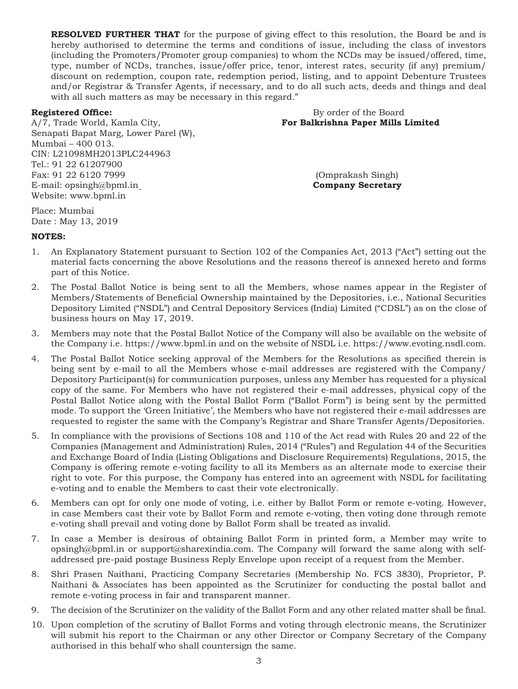**RESOLVED FURTHER THAT** for the purpose of giving effect to this resolution, the Board be and is hereby authorised to determine the terms and conditions of issue, including the class of investors (including the Promoters/Promoter group companies) to whom the NCDs may be issued/offered, time, type, number of NCDs, tranches, issue/offer price, tenor, interest rates, security (if any) premium/ discount on redemption, coupon rate, redemption period, listing, and to appoint Debenture Trustees and/or Registrar & Transfer Agents, if necessary, and to do all such acts, deeds and things and deal with all such matters as may be necessary in this regard."

A/7, Trade World, Kamla City, **For Balkrishna Paper Mills Limited**  Senapati Bapat Marg, Lower Parel (W), Mumbai – 400 013. CIN: L21098MH2013PLC244963 Tel.: 91 22 61207900 Fax: 91 22 6120 7999 (Omprakash Singh) E-mail: opsingh@bpml.in **Company Secretary** Website: www.bpml.in

# **Registered Office:** By order of the Board

Place: Mumbai Date : May 13, 2019

### **NOTES:**

- 1. An Explanatory Statement pursuant to Section 102 of the Companies Act, 2013 ("Act") setting out the material facts concerning the above Resolutions and the reasons thereof is annexed hereto and forms part of this Notice.
- 2. The Postal Ballot Notice is being sent to all the Members, whose names appear in the Register of Members/Statements of Beneficial Ownership maintained by the Depositories, i.e., National Securities Depository Limited ("NSDL") and Central Depository Services (India) Limited ("CDSL") as on the close of business hours on May 17, 2019.
- 3. Members may note that the Postal Ballot Notice of the Company will also be available on the website of the Company i.e. https://www.bpml.in and on the website of NSDL i.e. https://www.evoting.nsdl.com.
- 4. The Postal Ballot Notice seeking approval of the Members for the Resolutions as specified therein is being sent by e-mail to all the Members whose e-mail addresses are registered with the Company/ Depository Participant(s) for communication purposes, unless any Member has requested for a physical copy of the same. For Members who have not registered their e-mail addresses, physical copy of the Postal Ballot Notice along with the Postal Ballot Form ("Ballot Form") is being sent by the permitted mode. To support the 'Green Initiative', the Members who have not registered their e-mail addresses are requested to register the same with the Company's Registrar and Share Transfer Agents/Depositories.
- 5. In compliance with the provisions of Sections 108 and 110 of the Act read with Rules 20 and 22 of the Companies (Management and Administration) Rules, 2014 ("Rules") and Regulation 44 of the Securities and Exchange Board of India (Listing Obligations and Disclosure Requirements) Regulations, 2015, the Company is offering remote e-voting facility to all its Members as an alternate mode to exercise their right to vote. For this purpose, the Company has entered into an agreement with NSDL for facilitating e-voting and to enable the Members to cast their vote electronically.
- 6. Members can opt for only one mode of voting, i.e. either by Ballot Form or remote e-voting. However, in case Members cast their vote by Ballot Form and remote e-voting, then voting done through remote e-voting shall prevail and voting done by Ballot Form shall be treated as invalid.
- 7. In case a Member is desirous of obtaining Ballot Form in printed form, a Member may write to opsingh@bpml.in or support@sharexindia.com. The Company will forward the same along with selfaddressed pre-paid postage Business Reply Envelope upon receipt of a request from the Member.
- 8. Shri Prasen Naithani, Practicing Company Secretaries (Membership No. FCS 3830), Proprietor, P. Naithani & Associates has been appointed as the Scrutinizer for conducting the postal ballot and remote e-voting process in fair and transparent manner.
- 9. The decision of the Scrutinizer on the validity of the Ballot Form and any other related matter shall be final.
- 10. Upon completion of the scrutiny of Ballot Forms and voting through electronic means, the Scrutinizer will submit his report to the Chairman or any other Director or Company Secretary of the Company authorised in this behalf who shall countersign the same.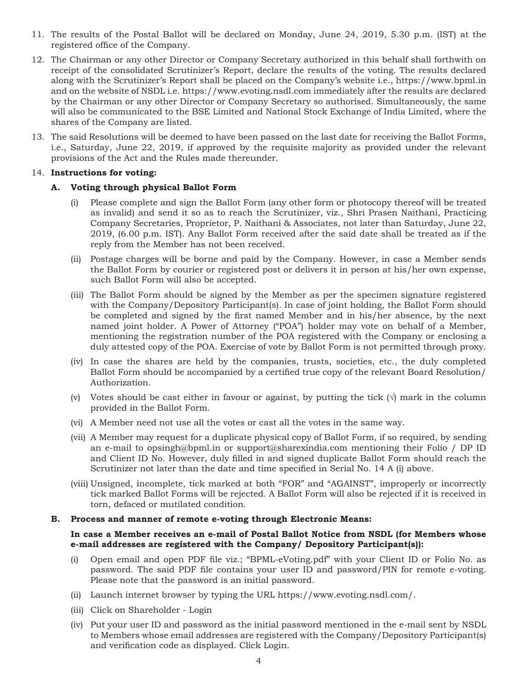- 11. The results of the Postal Ballot will be declared on Monday, June 24, 2019, 5.30 p.m. (IST) at the registered office of the Company.
- 12. The Chairman or any other Director or Company Secretary authorized in this behalf shall forthwith on receipt of the consolidated Scrutinizer's Report, declare the results of the voting. The results declared along with the Scrutinizer's Report shall be placed on the Company's website i.e., https://www.bpml.in and on the website of NSDL i.e. https://www.evoting.nsdl.com immediately after the results are declared by the Chairman or any other Director or Company Secretary so authorised. Simultaneously, the same will also be communicated to the BSE Limited and National Stock Exchange of India Limited, where the shares of the Company are listed.
- 13. The said Resolutions will be deemed to have been passed on the last date for receiving the Ballot Forms, i.e., Saturday, June 22, 2019, if approved by the requisite majority as provided under the relevant provisions of the Act and the Rules made thereunder.

#### 14. **Instructions for voting:**

#### **A. Voting through physical Ballot Form**

- (i) Please complete and sign the Ballot Form (any other form or photocopy thereof will be treated as invalid) and send it so as to reach the Scrutinizer, viz., Shri Prasen Naithani, Practicing Company Secretaries, Proprietor, P. Naithani & Associates, not later than Saturday, June 22, 2019, (6.00 p.m. IST). Any Ballot Form received after the said date shall be treated as if the reply from the Member has not been received.
- (ii) Postage charges will be borne and paid by the Company. However, in case a Member sends the Ballot Form by courier or registered post or delivers it in person at his/her own expense, such Ballot Form will also be accepted.
- (iii) The Ballot Form should be signed by the Member as per the specimen signature registered with the Company/Depository Participants. In case of joint holding, the Ballot Form should be completed and signed by the first named Member and in his/her absence, by the next named joint holder. A Power of Attorney ("POA") holder may vote on behalf of a Member, mentioning the registration number of the POA registered with the Company or enclosing a duly attested copy of the POA. Exercise of vote by Ballot Form is not permitted through proxy.
- (iv) In case the shares are held by the companies, trusts, societies, etc., the duly completed Ballot Form should be accompanied by a certified true copy of the relevant Board Resolution/ Authorization.
- (v) Votes should be cast either in favour or against, by putting the tick  $(\vee)$  mark in the column provided in the Ballot Form.
- (vi) A Member need not use all the votes or cast all the votes in the same way.
- (vii) A Member may request for a duplicate physical copy of Ballot Form, if so required, by sending an e-mail to opsingh@bpml.in or support@sharexindia.com mentioning their Folio / DP ID and Client ID No. However, duly filled in and signed duplicate Ballot Form should reach the Scrutinizer not later than the date and time specified in Serial No. 14 A (i) above.
- (viii) Unsigned, incomplete, tick marked at both "FOR" and "AGAINST", improperly or incorrectly tick marked Ballot Forms will be rejected. A Ballot Form will also be rejected if it is received in torn, defaced or mutilated condition.

#### **B. Process and manner of remote e-voting through Electronic Means:**

#### **In case a Member receives an e-mail of Postal Ballot Notice from NSDL (for Members whose e-mail addresses are registered with the Company/ Depository Participant(s)):**

- (i) Open email and open PDF file viz.; "BPML-eVoting.pdf" with your Client ID or Folio No. as password. The said PDF file contains your user ID and password/PIN for remote e-voting. Please note that the password is an initial password.
- (ii) Launch internet browser by typing the URL https://www.evoting.nsdl.com/.
- (iii) Click on Shareholder Login
- (iv) Put your user ID and password as the initial password mentioned in the e-mail sent by NSDL to Members whose email addresses are registered with the Company/Depository Participant(s) and verification code as displayed. Click Login.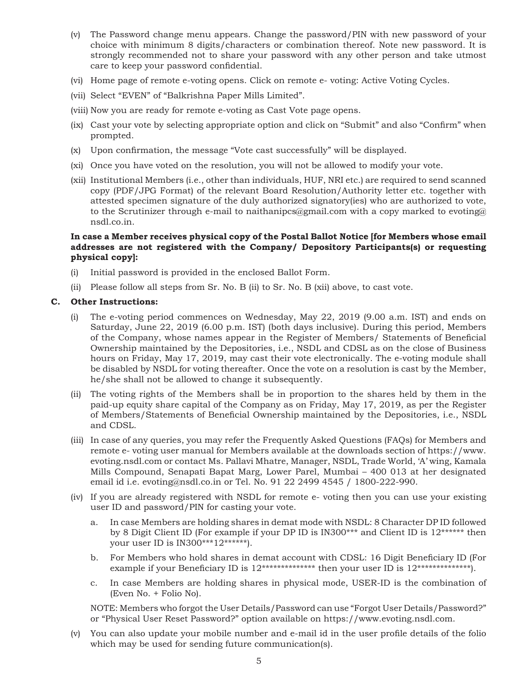- (v) The Password change menu appears. Change the password/PIN with new password of your choice with minimum 8 digits/characters or combination thereof. Note new password. It is strongly recommended not to share your password with any other person and take utmost care to keep your password confidential.
- (vi) Home page of remote e-voting opens. Click on remote e- voting: Active Voting Cycles.
- (vii) Select "EVEN" of "Balkrishna Paper Mills Limited".
- (viii) Now you are ready for remote e-voting as Cast Vote page opens.
- (ix) Cast your vote by selecting appropriate option and click on "Submit" and also "Confirm" when prompted.
- (x) Upon confirmation, the message "Vote cast successfully" will be displayed.
- (xi) Once you have voted on the resolution, you will not be allowed to modify your vote.
- (xii) Institutional Members (i.e., other than individuals, HUF, NRI etc.) are required to send scanned copy (PDF/JPG Format) of the relevant Board Resolution/Authority letter etc. together with attested specimen signature of the duly authorized signatory(ies) who are authorized to vote, to the Scrutinizer through e-mail to naithanipcs@gmail.com with a copy marked to evoting@ nsdl.co.in.

#### **In case a Member receives physical copy of the Postal Ballot Notice [for Members whose email addresses are not registered with the Company/ Depository Participants(s) or requesting physical copy]:**

- (i) Initial password is provided in the enclosed Ballot Form.
- (ii) Please follow all steps from Sr. No. B (ii) to Sr. No. B (xii) above, to cast vote.

#### **C. Other Instructions:**

- (i) The e-voting period commences on Wednesday, May 22, 2019 (9.00 a.m. IST) and ends on Saturday, June 22, 2019 (6.00 p.m. IST) (both days inclusive). During this period, Members of the Company, whose names appear in the Register of Members/ Statements of Beneficial Ownership maintained by the Depositories, i.e., NSDL and CDSL as on the close of Business hours on Friday, May 17, 2019, may cast their vote electronically. The e-voting module shall be disabled by NSDL for voting thereafter. Once the vote on a resolution is cast by the Member, he/she shall not be allowed to change it subsequently.
- (ii) The voting rights of the Members shall be in proportion to the shares held by them in the paid-up equity share capital of the Company as on Friday, May 17, 2019, as per the Register of Members/Statements of Beneficial Ownership maintained by the Depositories, i.e., NSDL and CDSL.
- (iii) In case of any queries, you may refer the Frequently Asked Questions (FAQs) for Members and remote e- voting user manual for Members available at the downloads section of https://www. evoting.nsdl.com or contact Ms. Pallavi Mhatre, Manager, NSDL, Trade World, 'A' wing, Kamala Mills Compound, Senapati Bapat Marg, Lower Parel, Mumbai – 400 013 at her designated email id i.e. evoting@nsdl.co.in or Tel. No. 91 22 2499 4545 / 1800-222-990.
- (iv) If you are already registered with NSDL for remote e- voting then you can use your existing user ID and password/PIN for casting your vote.
	- a. In case Members are holding shares in demat mode with NSDL: 8 Character DP ID followed by 8 Digit Client ID (For example if your DP ID is IN300\*\*\* and Client ID is 12\*\*\*\*\*\* then your user ID is IN300\*\*\*12\*\*\*\*\*\*).
	- b. For Members who hold shares in demat account with CDSL: 16 Digit Beneficiary ID (For example if your Beneficiary ID is  $12**************$  then your user ID is  $12************$ .
	- c. In case Members are holding shares in physical mode, USER-ID is the combination of (Even No. + Folio No).

NOTE: Members who forgot the User Details/Password can use "Forgot User Details/Password?" or "Physical User Reset Password?" option available on https://www.evoting.nsdl.com.

(v) You can also update your mobile number and e-mail id in the user profile details of the folio which may be used for sending future communication(s).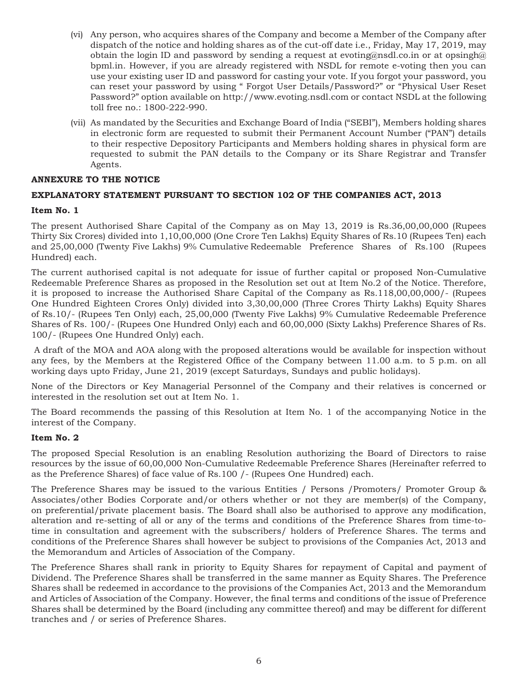- (vi) Any person, who acquires shares of the Company and become a Member of the Company after dispatch of the notice and holding shares as of the cut-off date i.e., Friday, May 17, 2019, may obtain the login ID and password by sending a request at evoting@nsdl.co.in or at opsingh@ bpml.in. However, if you are already registered with NSDL for remote e-voting then you can use your existing user ID and password for casting your vote. If you forgot your password, you can reset your password by using " Forgot User Details/Password?" or "Physical User Reset Password?" option available on http://www.evoting.nsdl.com or contact NSDL at the following toll free no.: 1800-222-990.
- (vii) As mandated by the Securities and Exchange Board of India ("SEBI"), Members holding shares in electronic form are requested to submit their Permanent Account Number ("PAN") details to their respective Depository Participants and Members holding shares in physical form are requested to submit the PAN details to the Company or its Share Registrar and Transfer Agents.

### **ANNEXURE TO THE NOTICE**

### **EXPLANATORY STATEMENT PURSUANT TO SECTION 102 OF THE COMPANIES ACT, 2013**

#### **Item No. 1**

The present Authorised Share Capital of the Company as on May 13, 2019 is Rs.36,00,00,000 (Rupees Thirty Six Crores) divided into 1,10,00,000 (One Crore Ten Lakhs) Equity Shares of Rs.10 (Rupees Ten) each and 25,00,000 (Twenty Five Lakhs) 9% Cumulative Redeemable Preference Shares of Rs.100 (Rupees Hundred) each.

The current authorised capital is not adequate for issue of further capital or proposed Non-Cumulative Redeemable Preference Shares as proposed in the Resolution set out at Item No.2 of the Notice. Therefore, it is proposed to increase the Authorised Share Capital of the Company as Rs.118,00,00,000/- (Rupees One Hundred Eighteen Crores Only) divided into 3,30,00,000 (Three Crores Thirty Lakhs) Equity Shares of Rs.10/- (Rupees Ten Only) each, 25,00,000 (Twenty Five Lakhs) 9% Cumulative Redeemable Preference Shares of Rs. 100/- (Rupees One Hundred Only) each and 60,00,000 (Sixty Lakhs) Preference Shares of Rs. 100/- (Rupees One Hundred Only) each.

 A draft of the MOA and AOA along with the proposed alterations would be available for inspection without any fees, by the Members at the Registered Office of the Company between 11.00 a.m. to 5 p.m. on all working days upto Friday, June 21, 2019 (except Saturdays, Sundays and public holidays).

None of the Directors or Key Managerial Personnel of the Company and their relatives is concerned or interested in the resolution set out at Item No. 1.

The Board recommends the passing of this Resolution at Item No. 1 of the accompanying Notice in the interest of the Company.

#### **Item No. 2**

The proposed Special Resolution is an enabling Resolution authorizing the Board of Directors to raise resources by the issue of 60,00,000 Non-Cumulative Redeemable Preference Shares (Hereinafter referred to as the Preference Shares) of face value of Rs.100 /- (Rupees One Hundred) each.

The Preference Shares may be issued to the various Entities / Persons /Promoters/ Promoter Group & Associates/other Bodies Corporate and/or others whether or not they are member(s) of the Company, on preferential/private placement basis. The Board shall also be authorised to approve any modification, alteration and re-setting of all or any of the terms and conditions of the Preference Shares from time-totime in consultation and agreement with the subscribers/ holders of Preference Shares. The terms and conditions of the Preference Shares shall however be subject to provisions of the Companies Act, 2013 and the Memorandum and Articles of Association of the Company.

The Preference Shares shall rank in priority to Equity Shares for repayment of Capital and payment of Dividend. The Preference Shares shall be transferred in the same manner as Equity Shares. The Preference Shares shall be redeemed in accordance to the provisions of the Companies Act, 2013 and the Memorandum and Articles of Association of the Company. However, the final terms and conditions of the issue of Preference Shares shall be determined by the Board (including any committee thereof) and may be different for different tranches and / or series of Preference Shares.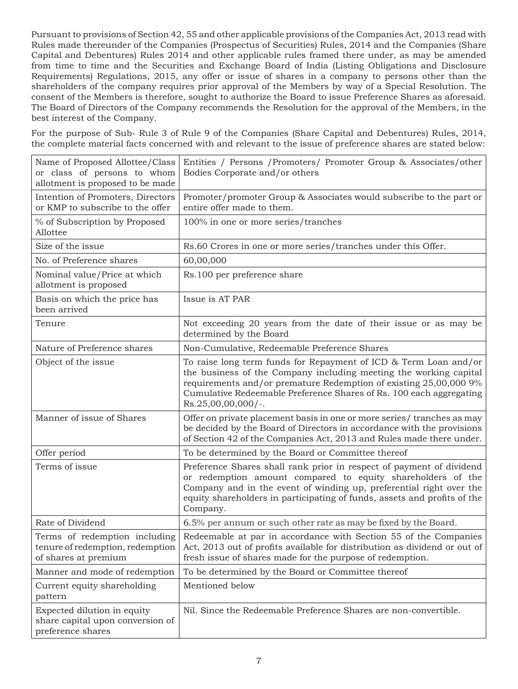Pursuant to provisions of Section 42, 55 and other applicable provisions of the Companies Act, 2013 read with Rules made thereunder of the Companies (Prospectus of Securities) Rules, 2014 and the Companies (Share Capital and Debentures) Rules 2014 and other applicable rules framed there under, as may be amended from time to time and the Securities and Exchange Board of India (Listing Obligations and Disclosure Requirements) Regulations, 2015, any offer or issue of shares in a company to persons other than the shareholders of the company requires prior approval of the Members by way of a Special Resolution. The consent of the Members is therefore, sought to authorize the Board to issue Preference Shares as aforesaid. The Board of Directors of the Company recommends the Resolution for the approval of the Members, in the best interest of the Company.

For the purpose of Sub- Rule 3 of Rule 9 of the Companies (Share Capital and Debentures) Rules, 2014, the complete material facts concerned with and relevant to the issue of preference shares are stated below:

| Name of Proposed Allottee/Class<br>or class of persons to whom<br>allotment is proposed to be made | Entities / Persons / Promoters/ Promoter Group & Associates/other<br>Bodies Corporate and/or others                                                                                                                                                                                                       |  |  |
|----------------------------------------------------------------------------------------------------|-----------------------------------------------------------------------------------------------------------------------------------------------------------------------------------------------------------------------------------------------------------------------------------------------------------|--|--|
| Intention of Promoters, Directors<br>or KMP to subscribe to the offer                              | Promoter/promoter Group & Associates would subscribe to the part or<br>entire offer made to them.                                                                                                                                                                                                         |  |  |
| % of Subscription by Proposed<br>Allottee                                                          | 100% in one or more series/tranches                                                                                                                                                                                                                                                                       |  |  |
| Size of the issue                                                                                  | Rs.60 Crores in one or more series/tranches under this Offer.                                                                                                                                                                                                                                             |  |  |
| No. of Preference shares                                                                           | 60,00,000                                                                                                                                                                                                                                                                                                 |  |  |
| Nominal value/Price at which<br>allotment is proposed                                              | Rs.100 per preference share                                                                                                                                                                                                                                                                               |  |  |
| Basis on which the price has<br>been arrived                                                       | Issue is AT PAR                                                                                                                                                                                                                                                                                           |  |  |
| Tenure                                                                                             | Not exceeding 20 years from the date of their issue or as may be<br>determined by the Board                                                                                                                                                                                                               |  |  |
| Nature of Preference shares                                                                        | Non-Cumulative, Redeemable Preference Shares                                                                                                                                                                                                                                                              |  |  |
| Object of the issue                                                                                | To raise long term funds for Repayment of ICD & Term Loan and/or<br>the business of the Company including meeting the working capital<br>requirements and/or premature Redemption of existing 25,00,000 9%<br>Cumulative Redeemable Preference Shares of Rs. 100 each aggregating<br>$Rs.25,00,00,000/-.$ |  |  |
| Manner of issue of Shares                                                                          | Offer on private placement basis in one or more series/tranches as may<br>be decided by the Board of Directors in accordance with the provisions<br>of Section 42 of the Companies Act, 2013 and Rules made there under.                                                                                  |  |  |
| Offer period                                                                                       | To be determined by the Board or Committee thereof                                                                                                                                                                                                                                                        |  |  |
| Terms of issue                                                                                     | Preference Shares shall rank prior in respect of payment of dividend<br>or redemption amount compared to equity shareholders of the<br>Company and in the event of winding up, preferential right over the<br>equity shareholders in participating of funds, assets and profits of the<br>Company.        |  |  |
| Rate of Dividend                                                                                   | 6.5% per annum or such other rate as may be fixed by the Board.                                                                                                                                                                                                                                           |  |  |
| Terms of redemption including<br>tenure of redemption, redemption<br>of shares at premium          | Redeemable at par in accordance with Section 55 of the Companies<br>Act, 2013 out of profits available for distribution as dividend or out of<br>fresh issue of shares made for the purpose of redemption.                                                                                                |  |  |
| Manner and mode of redemption                                                                      | To be determined by the Board or Committee thereof                                                                                                                                                                                                                                                        |  |  |
| Current equity shareholding<br>pattern                                                             | Mentioned below                                                                                                                                                                                                                                                                                           |  |  |
| Expected dilution in equity<br>share capital upon conversion of<br>preference shares               | Nil. Since the Redeemable Preference Shares are non-convertible.                                                                                                                                                                                                                                          |  |  |